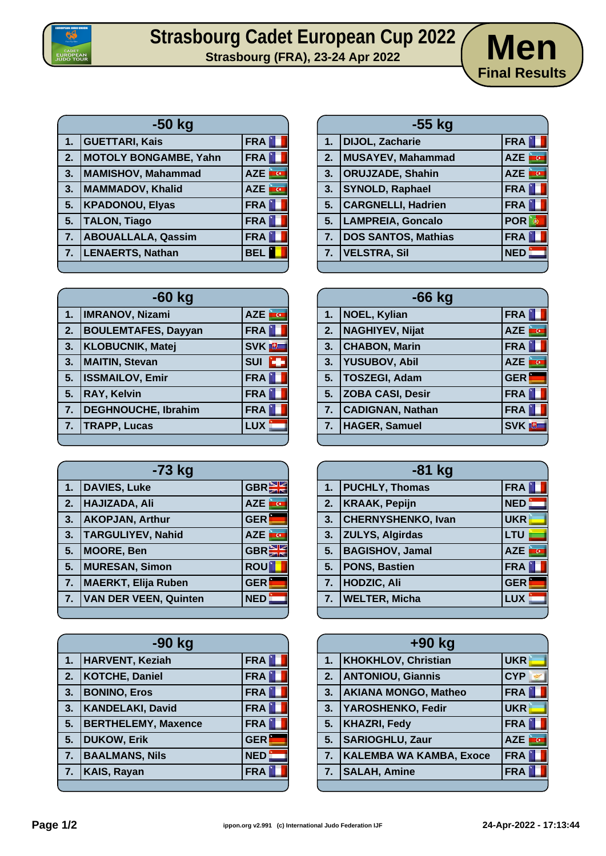

## **Strasbourg Cadet European Cup 2022**<br>
Strasbourg (FRA), 23-24 Apr 2022<br> **Men**



|    | -50 kg                    |               |
|----|---------------------------|---------------|
| 1. | <b>GUETTARI, Kais</b>     | <b>FRA</b>    |
| 2. | MOTOLY BONGAMBE, Yahn     | <b>FRA</b>    |
| 3. | MAMISHOV, Mahammad        | AZE <b>TO</b> |
| 3. | MAMMADOV, Khalid          | AZE <b>TO</b> |
| 5. | <b>KPADONOU, Elyas</b>    | FRA           |
| 5. | <b>TALON, Tiago</b>       | FRA           |
| 7. | <b>ABOUALLALA, Qassim</b> | <b>FRA</b>    |
| 7. | LENAERTS, Nathan          | <b>BEL</b>    |
|    |                           |               |

|    | $-60$ kg                   |                         |
|----|----------------------------|-------------------------|
|    | 1.   IMRANOV, Nizami       | AZE <b>FOR</b>          |
| 2. | <b>BOULEMTAFES, Dayyan</b> | <b>FRA</b>              |
| 3. | <b>KLOBUCNIK, Matej</b>    | <b>SVK</b> <sub>U</sub> |
| 3. | <b>MAITIN, Stevan</b>      | <b>SUI</b><br>i dje     |
| 5. | <b>ISSMAILOV, Emir</b>     | <b>FRA</b>              |
| 5. | <b>RAY, Kelvin</b>         | <b>FRA</b>              |
| 7. | DEGHNOUCHE, Ibrahim        | <b>FRA</b>              |
| 7. | <b>TRAPP, Lucas</b>        | <b>LUX</b>              |
|    |                            |                         |

| -73 kg |                              |                         |
|--------|------------------------------|-------------------------|
| 1.     | <b>DAVIES, Luke</b>          | <b>GBREE</b>            |
| 2.     | <b>HAJIZADA, Ali</b>         | <b>AZE</b><br><b>AU</b> |
| 3.     | <b>AKOPJAN, Arthur</b>       | <b>GER</b>              |
| 3.     | <b>TARGULIYEV, Nahid</b>     | <b>AZE</b><br><b>k</b>  |
| 5.     | <b>MOORE, Ben</b>            | GBR                     |
| 5.     | <b>MURESAN, Simon</b>        | <b>ROU</b>              |
| 7.     | <b>MAERKT, Elija Ruben</b>   | <b>GER</b>              |
| 7.     | <b>VAN DER VEEN, Quinten</b> | <b>NED</b>              |
|        |                              |                         |

| $-90$ kg |                            |            |
|----------|----------------------------|------------|
| 1.       | <b>HARVENT, Keziah</b>     | <b>FRA</b> |
| 2.       | <b>KOTCHE, Daniel</b>      | FRA        |
| 3.       | <b>BONINO, Eros</b>        | <b>FRA</b> |
| 3.       | <b>KANDELAKI, David</b>    | <b>FRA</b> |
| 5.       | <b>BERTHELEMY, Maxence</b> | <b>FRA</b> |
| 5.       | <b>DUKOW, Erik</b>         | <b>GER</b> |
| 7.       | <b>BAALMANS, Nils</b>      | <b>NED</b> |
| 7.       | <b>KAIS, Rayan</b>         | <b>FRA</b> |
|          |                            |            |

|    | -55 kg                     |                   |
|----|----------------------------|-------------------|
| 1. | <b>DIJOL, Zacharie</b>     | FRA               |
| 2. | MUSAYEV, Mahammad          | m<br><b>AZE</b>   |
| 3. | <b>ORUJZADE, Shahin</b>    | <u>arc</u><br>AZE |
| 3. | <b>SYNOLD, Raphael</b>     | <b>FRA</b>        |
| 5. | <b>CARGNELLI, Hadrien</b>  | <b>FRA</b>        |
| 5. | <b>LAMPREIA, Goncalo</b>   | <b>POR</b><br>- 6 |
| 7. | <b>DOS SANTOS, Mathias</b> | <b>FRA</b>        |
| 7. | <b>VELSTRA, Sil</b>        | <b>NED</b>        |
|    |                            |                   |

| $-66$ kg |                         |                         |
|----------|-------------------------|-------------------------|
| 1.       | NOEL, Kylian            | FRA                     |
| 2.       | <b>NAGHIYEV, Nijat</b>  | AZE <b>TO</b>           |
| 3.       | <b>CHABON, Marin</b>    | <b>FRA</b>              |
| 3.       | <b>YUSUBOV, Abil</b>    | <b>AZE</b><br><b>CO</b> |
| 5.       | TOSZEGI, Adam           | <b>GER</b>              |
| 5.       | <b>ZOBA CASI, Desir</b> | <b>FRA</b>              |
| 7.       | <b>CADIGNAN, Nathan</b> | <b>FRA</b>              |
|          | 7. HAGER, Samuel        | <b>SVK</b> <sup>U</sup> |
|          |                         |                         |

| <b>FRA</b><br><b>PUCHLY, Thomas</b><br>1.<br><b>NED</b><br><b>KRAAK, Pepijn</b><br>2.<br><b>UKR</b><br><b>CHERNYSHENKO, Ivan</b><br>3. |           |
|----------------------------------------------------------------------------------------------------------------------------------------|-----------|
|                                                                                                                                        |           |
|                                                                                                                                        |           |
|                                                                                                                                        |           |
| <b>ZULYS, Algirdas</b><br>LTU<br>3.                                                                                                    |           |
| <b>BAGISHOV, Jamal</b><br>5.<br><b>AZE</b>                                                                                             | <b>AU</b> |
| <b>PONS, Bastien</b><br><b>FRA</b><br>5.                                                                                               |           |
| 7. HODZIC, Ali<br><b>GER</b>                                                                                                           |           |
| <b>LUX</b><br>7.   WELTER, Micha                                                                                                       |           |

| <b>KHOKHLOV, Christian</b><br><b>UKR</b><br>1.<br><b>CYP</b><br><b>ANTONIOU, Giannis</b><br>2.<br>FRA  <br><b>AKIANA MONGO, Matheo</b><br>3.<br>YAROSHENKO, Fedir<br>3.<br><b>UKR</b> |  |
|---------------------------------------------------------------------------------------------------------------------------------------------------------------------------------------|--|
|                                                                                                                                                                                       |  |
|                                                                                                                                                                                       |  |
|                                                                                                                                                                                       |  |
|                                                                                                                                                                                       |  |
| 5.<br><b>FRA</b><br><b>KHAZRI, Fedy</b>                                                                                                                                               |  |
| AZE <b>TO</b><br><b>SARIOGHLU, Zaur</b><br>5.                                                                                                                                         |  |
| <b>FRA</b><br><b>KALEMBA WA KAMBA, Exoce</b><br>$\overline{7}$ .                                                                                                                      |  |
| <b>SALAH, Amine</b><br><b>FRA</b><br>7.                                                                                                                                               |  |